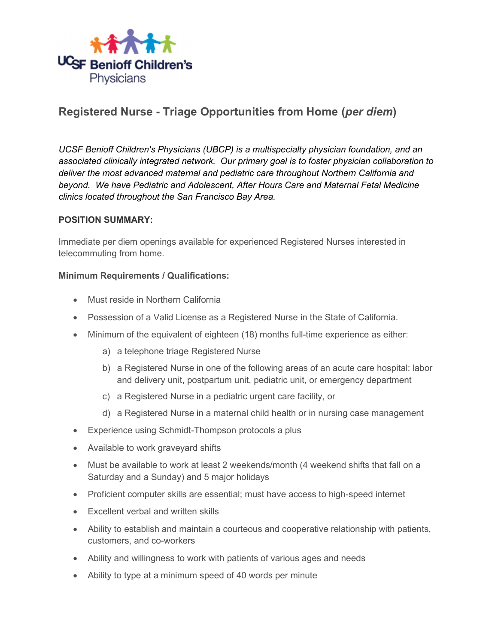

# Registered Nurse - Triage Opportunities from Home (per diem)

UCSF Benioff Children's Physicians (UBCP) is a multispecialty physician foundation, and an associated clinically integrated network. Our primary goal is to foster physician collaboration to deliver the most advanced maternal and pediatric care throughout Northern California and beyond. We have Pediatric and Adolescent, After Hours Care and Maternal Fetal Medicine clinics located throughout the San Francisco Bay Area.

#### POSITION SUMMARY:

Immediate per diem openings available for experienced Registered Nurses interested in telecommuting from home.

#### Minimum Requirements / Qualifications:

- Must reside in Northern California
- Possession of a Valid License as a Registered Nurse in the State of California.
- Minimum of the equivalent of eighteen (18) months full-time experience as either:
	- a) a telephone triage Registered Nurse
	- b) a Registered Nurse in one of the following areas of an acute care hospital: labor and delivery unit, postpartum unit, pediatric unit, or emergency department
	- c) a Registered Nurse in a pediatric urgent care facility, or
	- d) a Registered Nurse in a maternal child health or in nursing case management
- Experience using Schmidt-Thompson protocols a plus
- Available to work graveyard shifts
- Must be available to work at least 2 weekends/month (4 weekend shifts that fall on a Saturday and a Sunday) and 5 major holidays
- Proficient computer skills are essential; must have access to high-speed internet
- Excellent verbal and written skills
- Ability to establish and maintain a courteous and cooperative relationship with patients, customers, and co-workers
- Ability and willingness to work with patients of various ages and needs
- Ability to type at a minimum speed of 40 words per minute